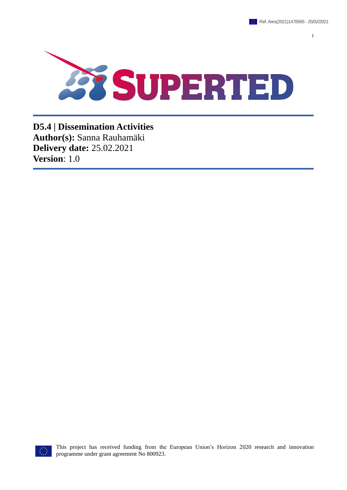1



**D5.4 | Dissemination Activities Author(s):** Sanna Rauhamäki **Delivery date:** 25.02.2021 **Version**: 1.0



This project has received funding from the European Union's Horizon 2020 research and innovation programme under grant agreement No 800923.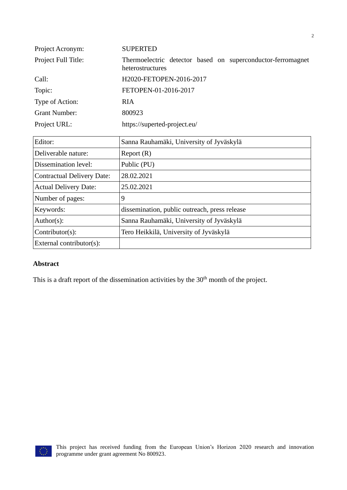| Project Acronym:     | <b>SUPERTED</b>                                                                 |  |  |
|----------------------|---------------------------------------------------------------------------------|--|--|
| Project Full Title:  | Thermoelectric detector based on superconductor-ferromagnet<br>heterostructures |  |  |
| Call:                | H2020-FETOPEN-2016-2017                                                         |  |  |
| Topic:               | FETOPEN-01-2016-2017                                                            |  |  |
| Type of Action:      | <b>RIA</b>                                                                      |  |  |
| <b>Grant Number:</b> | 800923                                                                          |  |  |
| Project URL:         | https://superted-project.eu/                                                    |  |  |

| Editor:                           | Sanna Rauhamäki, University of Jyväskylä      |
|-----------------------------------|-----------------------------------------------|
| Deliverable nature:               | Report(R)                                     |
| Dissemination level:              | Public (PU)                                   |
| <b>Contractual Delivery Date:</b> | 28.02.2021                                    |
| <b>Actual Delivery Date:</b>      | 25.02.2021                                    |
| Number of pages:                  | 9                                             |
| Keywords:                         | dissemination, public outreach, press release |
| $Author(s)$ :                     | Sanna Rauhamäki, University of Jyväskylä      |
| $Contributor(s)$ :                | Tero Heikkilä, University of Jyväskylä        |
| External contributor(s):          |                                               |

#### **Abstract**

This is a draft report of the dissemination activities by the 30<sup>th</sup> month of the project.

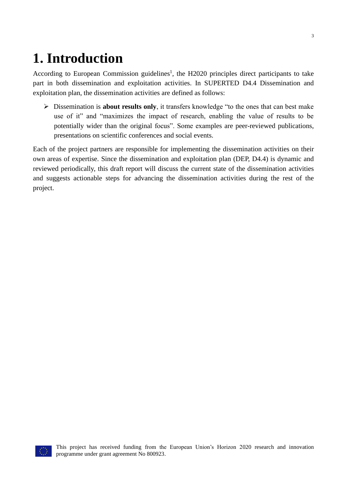## **1. Introduction**

According to European Commission guidelines<sup>1</sup>, the H2020 principles direct participants to take part in both dissemination and exploitation activities. In SUPERTED D4.4 Dissemination and exploitation plan, the dissemination activities are defined as follows:

➢ Dissemination is **about results only**, it transfers knowledge "to the ones that can best make use of it" and "maximizes the impact of research, enabling the value of results to be potentially wider than the original focus". Some examples are peer-reviewed publications, presentations on scientific conferences and social events.

Each of the project partners are responsible for implementing the dissemination activities on their own areas of expertise. Since the dissemination and exploitation plan (DEP, D4.4) is dynamic and reviewed periodically, this draft report will discuss the current state of the dissemination activities and suggests actionable steps for advancing the dissemination activities during the rest of the project.

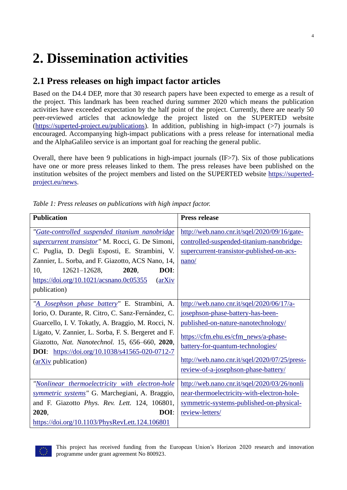# **2. Dissemination activities**

## **2.1 Press releases on high impact factor articles**

Based on the D4.4 DEP, more that 30 research papers have been expected to emerge as a result of the project. This landmark has been reached during summer 2020 which means the publication activities have exceeded expectation by the half point of the project. Currently, there are nearly 50 peer-reviewed articles that acknowledge the project listed on the SUPERTED website [\(https://superted-project.eu/publications\)](https://superted-project.eu/publications). In addition, publishing in high-impact (>7) journals is encouraged. Accompanying high-impact publications with a press release for international media and the AlphaGalileo service is an important goal for reaching the general public.

Overall, there have been 9 publications in high-impact journals (IF>7). Six of those publications have one or more press releases linked to them. The press releases have been published on the institution websites of the project members and listed on the SUPERTED website [https://superted](https://superted-project.eu/news)[project.eu/news.](https://superted-project.eu/news)

| <b>Publication</b>                                                                                                                                                                                                                                                                                                                                | <b>Press release</b>                                                                                                                                                                                                                                                                        |
|---------------------------------------------------------------------------------------------------------------------------------------------------------------------------------------------------------------------------------------------------------------------------------------------------------------------------------------------------|---------------------------------------------------------------------------------------------------------------------------------------------------------------------------------------------------------------------------------------------------------------------------------------------|
| "Gate-controlled suspended titanium nanobridge<br>supercurrent transistor" M. Rocci, G. De Simoni,<br>C. Puglia, D. Degli Esposti, E. Strambini, V.<br>Zannier, L. Sorba, and F. Giazotto, ACS Nano, 14,                                                                                                                                          | http://web.nano.cnr.it/sqel/2020/09/16/gate-<br>controlled-suspended-titanium-nanobridge-<br>supercurrent-transistor-published-on-acs-<br>nano/                                                                                                                                             |
| 10,<br>$12621 - 12628$ ,<br>2020,<br>DOI:<br>https://doi.org/10.1021/acsnano.0c05355<br>$\langle$ arXiv<br>publication)                                                                                                                                                                                                                           |                                                                                                                                                                                                                                                                                             |
| "A Josephson phase battery" E. Strambini, A.<br>Iorio, O. Durante, R. Citro, C. Sanz-Fernández, C.<br>Guarcello, I. V. Tokatly, A. Braggio, M. Rocci, N.<br>Ligato, V. Zannier, L. Sorba, F. S. Bergeret and F.<br>Giazotto, Nat. Nanotechnol. 15, 656-660, 2020,<br><b>DOI:</b> https://doi.org/10.1038/s41565-020-0712-7<br>(arXiv publication) | http://web.nano.cnr.it/sqel/2020/06/17/a-<br>josephson-phase-battery-has-been-<br>published-on-nature-nanotechnology/<br>https://cfm.ehu.es/cfm_news/a-phase-<br>battery-for-quantum-technologies/<br>http://web.nano.cnr.it/sqel/2020/07/25/press-<br>review-of-a-josephson-phase-battery/ |
| "Nonlinear thermoelectricity with electron-hole<br>symmetric systems" G. Marchegiani, A. Braggio,<br>and F. Giazotto Phys. Rev. Lett. 124, 106801,<br>2020,<br>DOI:<br>https://doi.org/10.1103/PhysRevLett.124.106801                                                                                                                             | http://web.nano.cnr.it/sqel/2020/03/26/nonli<br>near-thermoelectricity-with-electron-hole-<br>symmetric-systems-published-on-physical-<br>review-letters/                                                                                                                                   |

*Table 1: Press releases on publications with high impact factor.*



This project has received funding from the European Union's Horizon 2020 research and innovation programme under grant agreement No 800923.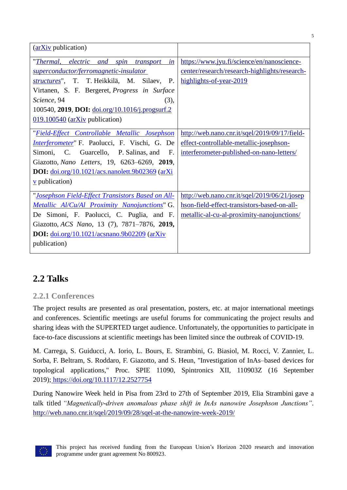| (arXiv publication)                                                                                                                                                                                                                                                                                                         |                                                                                                                                           |
|-----------------------------------------------------------------------------------------------------------------------------------------------------------------------------------------------------------------------------------------------------------------------------------------------------------------------------|-------------------------------------------------------------------------------------------------------------------------------------------|
| "Thermal, electric and<br>in<br>spin<br>transport<br>superconductor/ferromagnetic-insulator<br>structures", T. T. Heikkilä, M. Silaev, P.<br>Virtanen, S. F. Bergeret, <i>Progress in Surface</i><br>Science, 94<br>(3),<br>100540, 2019, DOI: doi.org/10.1016/j.progsurf.2<br>$\underline{019.100540}$ (arXiv publication) | https://www.jyu.fi/science/en/nanoscience-<br>center/research/research-highlights/research-<br>highlights-of-year-2019                    |
| "Field-Effect Controllable Metallic Josephson<br><i>Interferometer</i> " F. Paolucci, F. Vischi, G. De<br>Simoni, C. Guarcello, P. Salinas, and<br>$F_{\cdot}$<br>Giazotto, Nano Letters, 19, 6263-6269, 2019,<br><b>DOI</b> : $\frac{doi.org/10.1021/acs.nanolett.9b02369}{(arXi)}$<br>$\underline{v}$ publication)        | http://web.nano.cnr.it/sqel/2019/09/17/field-<br>effect-controllable-metallic-josephson-<br>interferometer-published-on-nano-letters/     |
| "Josephson Field-Effect Transistors Based on All-<br><i>Metallic Al/Cu/Al Proximity Nanojunctions</i> " G.<br>De Simoni, F. Paolucci, C. Puglia, and F.<br>Giazotto, ACS Nano, 13 (7), 7871-7876, 2019,<br>DOI: doi.org/10.1021/acsnano.9b02209 (arXiv<br>publication)                                                      | http://web.nano.cnr.it/sqel/2019/06/21/josep<br>hson-field-effect-transistors-based-on-all-<br>metallic-al-cu-al-proximity-nanojunctions/ |

## **2.2 Talks**

#### **2.2.1 Conferences**

The project results are presented as oral presentation, posters, etc. at major international meetings and conferences. Scientific meetings are useful forums for communicating the project results and sharing ideas with the SUPERTED target audience. Unfortunately, the opportunities to participate in face-to-face discussions at scientific meetings has been limited since the outbreak of COVID-19.

M. Carrega, S. Guiducci, A. Iorio, L. Bours, E. Strambini, G. Biasiol, M. Rocci, V. Zannier, L. Sorba, F. Beltram, S. Roddaro, F. Giazotto, and S. Heun, "Investigation of InAs–based devices for topological applications," Proc. SPIE 11090, Spintronics XII, 110903Z (16 September 2019); <https://doi.org/10.1117/12.2527754>

During Nanowire Week held in Pisa from 23rd to 27th of September 2019, Elia Strambini gave a talk titled *"Magnetically-driven anomalous phase shift in InAs nanowire Josephson Junctions".* <http://web.nano.cnr.it/sqel/2019/09/28/sqel-at-the-nanowire-week-2019/>

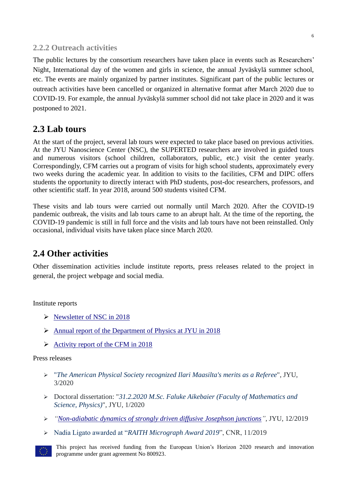#### **2.2.2 Outreach activities**

The public lectures by the consortium researchers have taken place in events such as Researchers' Night, International day of the women and girls in science, the annual Jyväskylä summer school, etc. The events are mainly organized by partner institutes. Significant part of the public lectures or outreach activities have been cancelled or organized in alternative format after March 2020 due to COVID-19. For example, the annual Jyväskylä summer school did not take place in 2020 and it was postponed to 2021.

#### **2.3 Lab tours**

At the start of the project, several lab tours were expected to take place based on previous activities. At the JYU Nanoscience Center (NSC), the SUPERTED researchers are involved in guided tours and numerous visitors (school children, collaborators, public, etc.) visit the center yearly. Correspondingly, CFM carries out a program of visits for high school students, approximately every two weeks during the academic year. In addition to visits to the facilities, CFM and DIPC offers students the opportunity to directly interact with PhD students, post-doc researchers, professors, and other scientific staff. In year 2018, around 500 students visited CFM.

These visits and lab tours were carried out normally until March 2020. After the COVID-19 pandemic outbreak, the visits and lab tours came to an abrupt halt. At the time of the reporting, the COVID-19 pandemic is still in full force and the visits and lab tours have not been reinstalled. Only occasional, individual visits have taken place since March 2020.

### **2.4 Other activities**

Other dissemination activities include institute reports, press releases related to the project in general, the project webpage and social media.

Institute reports

- ➢ [Newsletter of NSC in 2018](https://www.jyu.fi/science/en/nanoscience-center/current/nsc-newsletter/nsc-newsletter-2018)
- ➢ Annual report [of the Department of Physics at JYU in 2018](https://www.jyu.fi/science/en/physics/current/annual-reports/jyfl-annual-report-2018_web.pdf)
- $\triangleright$  [Activity report of the CFM in 2018](https://cfm.ehu.es/view/files/CFM-2018memoria-web.pdf)

Press releases

- ➢ "*[The American Physical Society recognized Ilari Maasilta's merits as a Referee](https://www.jyu.fi/science/en/current/current/the-american-physical-society-recognized-ilari-maasiltas-merits-as-a-referee)*", JYU, 3/2020
- ➢ Doctoral dissertation: "*[31.2.2020 M.Sc. Faluke Aikebaier \(Faculty of Mathematics and](https://www.jyu.fi/en/current/archive/2020/01/31-1-2020-m-sc-faluke-aikebaier-faculty-of-mathematics-and-science-physics)  [Science, Physics\)](https://www.jyu.fi/en/current/archive/2020/01/31-1-2020-m-sc-faluke-aikebaier-faculty-of-mathematics-and-science-physics)*", JYU, 1/2020
- ➢ *["Non-adiabatic dynamics of strongly driven diffusive Josephson junctions"](https://www.jyu.fi/en/current/archive/2019/12/non-adiabatic-dynamics-of-strongly-driven-diffusive-josephson-junctions)*, JYU, 12/2019
- ➢ Nadia Ligato awarded at "*[RAITH Micrograph Award 2019](http://web.nano.cnr.it/sqel/2019/11/01/nadia-ligato-awarded-at-raith-micrograph-award-2019/)*", CNR, 11/2019
- This project has received funding from the European Union's Horizon 2020 research and innovation programme under grant agreement No 800923.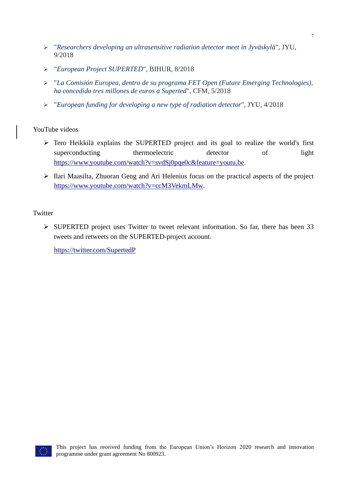- ➢ "*[Researchers developing an ultrasensitive radiation detector meet in Jyväskylä](https://www.jyu.fi/en/current/archive/2018/09/researchers-developing-an-ultrasensitive-radiation-detector-meet-in-jyvaskyla)*", JYU, 9/2018
- ➢ "*[European Project SUPERTED](https://bihurcrystal.com/european-project-superted/)*", BIHUR, 8/2018
- ➢ "*[La Comisión Europea, dentro de su programa FET Open \(Future Emerging Technologies\),](http://bit.ly/2FXFE3C)  [ha concedido tres millones de euros a Superted](http://bit.ly/2FXFE3C)*", CFM, 5/2018
- ➢ "*[European funding for developing a new type of radiation detector](https://www.jyu.fi/en/news/archive/2018/04/tiedote-2018-04-16-07-35-23-397478)*", JYU, 4/2018

#### YouTube videos

- ➢ Tero Heikkilä explains the SUPERTED project and its goal to realize the world's first superconducting thermoelectric detector of light [https://www.youtube.com/watch?v=svdSj0pqe0c&feature=youtu.be.](https://www.youtube.com/watch?v=svdSj0pqe0c&feature=youtu.be)
- ➢ Ilari Maasilta, Zhuoran Geng and Ari Helenius focus on the practical aspects of the project [https://www.youtube.com/watch?v=ccM3VekmLMw.](https://www.youtube.com/watch?v=ccM3VekmLMw)

#### **Twitter**

➢ SUPERTED project uses Twitter to tweet relevant information. So far, there has been 33 tweets and retweets on the SUPERTED-project account.

<https://twitter.com/SupertedP>

7

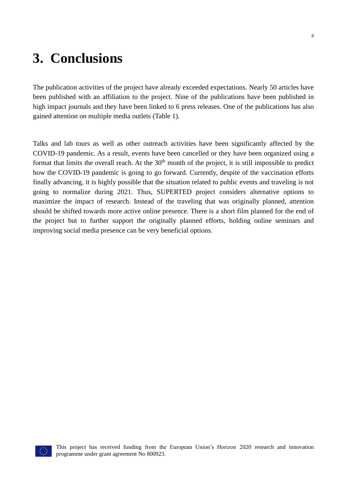## **3. Conclusions**

The publication activities of the project have already exceeded expectations. Nearly 50 articles have been published with an affiliation to the project. Nine of the publications have been published in high impact journals and they have been linked to 6 press releases. One of the publications has also gained attention on multiple media outlets (Table 1).

Talks and lab tours as well as other outreach activities have been significantly affected by the COVID-19 pandemic. As a result, events have been cancelled or they have been organized using a format that limits the overall reach. At the  $30<sup>th</sup>$  month of the project, it is still impossible to predict how the COVID-19 pandemic is going to go forward. Currently, despite of the vaccination efforts finally advancing, it is highly possible that the situation related to public events and traveling is not going to normalize during 2021. Thus, SUPERTED project considers alternative options to maximize the impact of research. Instead of the traveling that was originally planned, attention should be shifted towards more active online presence. There is a short film planned for the end of the project but to further support the originally planned efforts, holding online seminars and improving social media presence can be very beneficial options.